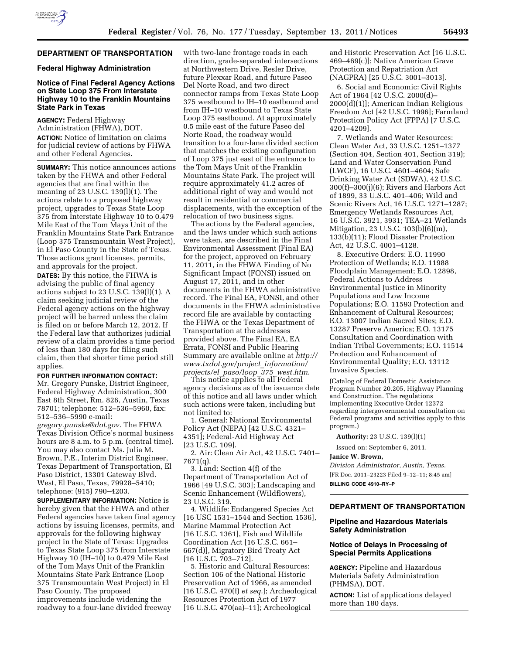

## **DEPARTMENT OF TRANSPORTATION**

#### **Federal Highway Administration**

## **Notice of Final Federal Agency Actions on State Loop 375 From Interstate Highway 10 to the Franklin Mountains State Park in Texas**

**AGENCY:** Federal Highway Administration (FHWA), DOT. **ACTION:** Notice of limitation on claims for judicial review of actions by FHWA and other Federal Agencies.

**SUMMARY:** This notice announces actions taken by the FHWA and other Federal agencies that are final within the meaning of 23 U.S.C. 139(l)(1). The actions relate to a proposed highway project, upgrades to Texas State Loop 375 from Interstate Highway 10 to 0.479 Mile East of the Tom Mays Unit of the Franklin Mountains State Park Entrance (Loop 375 Transmountain West Project), in El Paso County in the State of Texas. Those actions grant licenses, permits, and approvals for the project.

**DATES:** By this notice, the FHWA is advising the public of final agency actions subject to 23 U.S.C. 139(l)(1). A claim seeking judicial review of the Federal agency actions on the highway project will be barred unless the claim is filed on or before March 12, 2012. If the Federal law that authorizes judicial review of a claim provides a time period of less than 180 days for filing such claim, then that shorter time period still applies.

**FOR FURTHER INFORMATION CONTACT:** 

Mr. Gregory Punske, District Engineer, Federal Highway Administration, 300 East 8th Street, Rm. 826, Austin, Texas 78701; telephone: 512–536–5960, fax: 512–536–5990 e-mail: *[gregory.punske@dot.gov](mailto:gregory.punske@dot.gov)*. The FHWA Texas Division Office's normal business hours are 8 a.m. to 5 p.m. (central time). You may also contact Ms. Julia M. Brown, P.E., Interim District Engineer, Texas Department of Transportation, El Paso District, 13301 Gateway Blvd. West, El Paso, Texas, 79928–5410; telephone: (915) 790–4203.

**SUPPLEMENTARY INFORMATION:** Notice is hereby given that the FHWA and other Federal agencies have taken final agency actions by issuing licenses, permits, and approvals for the following highway project in the State of Texas: Upgrades to Texas State Loop 375 from Interstate Highway 10 (IH–10) to 0.479 Mile East of the Tom Mays Unit of the Franklin Mountains State Park Entrance (Loop 375 Transmountain West Project) in El Paso County. The proposed improvements include widening the roadway to a four-lane divided freeway

with two-lane frontage roads in each direction, grade-separated intersections at Northwestern Drive, Resler Drive, future Plexxar Road, and future Paseo Del Norte Road, and two direct connector ramps from Texas State Loop 375 westbound to IH–10 eastbound and from IH–10 westbound to Texas State Loop 375 eastbound. At approximately 0.5 mile east of the future Paseo del Norte Road, the roadway would transition to a four-lane divided section that matches the existing configuration of Loop 375 just east of the entrance to the Tom Mays Unit of the Franklin Mountains State Park. The project will require approximately 41.2 acres of additional right of way and would not result in residential or commercial displacements, with the exception of the relocation of two business signs.

The actions by the Federal agencies, and the laws under which such actions were taken, are described in the Final Environmental Assessment (Final EA) for the project, approved on February 11, 2011, in the FHWA Finding of No Significant Impact (FONSI) issued on August 17, 2011, and in other documents in the FHWA administrative record. The Final EA, FONSI, and other documents in the FHWA administrative record file are available by contacting the FHWA or the Texas Department of Transportation at the addresses provided above. The Final EA, EA Errata, FONSI and Public Hearing Summary are available online at *[http://](http://www.txdot.gov/project_information/projects/el_paso/loop_375_west.htm) [www.txdot.gov/project](http://www.txdot.gov/project_information/projects/el_paso/loop_375_west.htm)*\_*information/ [projects/el](http://www.txdot.gov/project_information/projects/el_paso/loop_375_west.htm)*\_*paso/loop*\_*375*\_*west.htm*.

This notice applies to all Federal agency decisions as of the issuance date of this notice and all laws under which such actions were taken, including but not limited to:

1. General: National Environmental Policy Act (NEPA) [42 U.S.C. 4321– 4351]; Federal-Aid Highway Act [23 U.S.C. 109].

2. Air: Clean Air Act, 42 U.S.C. 7401– 7671(q).

3. Land: Section 4(f) of the Department of Transportation Act of 1966 [49 U.S.C. 303]; Landscaping and Scenic Enhancement (Wildflowers), 23 U.S.C. 319.

4. Wildlife: Endangered Species Act [16 USC 1531–1544 and Section 1536], Marine Mammal Protection Act [16 U.S.C. 1361], Fish and Wildlife Coordination Act [16 U.S.C. 661– 667(d)], Migratory Bird Treaty Act [16 U.S.C. 703–712].

5. Historic and Cultural Resources: Section 106 of the National Historic Preservation Act of 1966, as amended [16 U.S.C. 470(f) *et seq.*]; Archeological Resources Protection Act of 1977 [16 U.S.C. 470(aa)–11]; Archeological

and Historic Preservation Act [16 U.S.C. 469–469(c)]; Native American Grave Protection and Repatriation Act (NAGPRA) [25 U.S.C. 3001–3013].

6. Social and Economic: Civil Rights Act of 1964 [42 U.S.C. 2000(d)– 2000(d)(1)]; American Indian Religious Freedom Act [42 U.S.C. 1996]; Farmland Protection Policy Act (FPPA) [7 U.S.C. 4201–4209].

7. Wetlands and Water Resources: Clean Water Act, 33 U.S.C. 1251–1377 (Section 404, Section 401, Section 319); Land and Water Conservation Fund (LWCF), 16 U.S.C. 4601–4604; Safe Drinking Water Act (SDWA), 42 U.S.C. 300(f)–300(j)(6); Rivers and Harbors Act of 1899, 33 U.S.C. 401–406; Wild and Scenic Rivers Act, 16 U.S.C. 1271–1287; Emergency Wetlands Resources Act, 16 U.S.C. 3921, 3931; TEA–21 Wetlands Mitigation, 23 U.S.C. 103(b)(6)(m), 133(b)(11); Flood Disaster Protection Act, 42 U.S.C. 4001–4128.

8. Executive Orders: E.O. 11990 Protection of Wetlands; E.O. 11988 Floodplain Management; E.O. 12898, Federal Actions to Address Environmental Justice in Minority Populations and Low Income Populations; E.O. 11593 Protection and Enhancement of Cultural Resources; E.O. 13007 Indian Sacred Sites; E.O. 13287 Preserve America; E.O. 13175 Consultation and Coordination with Indian Tribal Governments; E.O. 11514 Protection and Enhancement of Environmental Quality; E.O. 13112 Invasive Species.

(Catalog of Federal Domestic Assistance Program Number 20.205, Highway Planning and Construction. The regulations implementing Executive Order 12372 regarding intergovernmental consultation on Federal programs and activities apply to this program.)

**Authority:** 23 U.S.C. 139(l)(1)

Issued on: September 6, 2011.

**Janice W. Brown,** 

*Division Administrator, Austin, Texas.*  [FR Doc. 2011–23223 Filed 9–12–11; 8:45 am] **BILLING CODE 4910–RY–P** 

## **DEPARTMENT OF TRANSPORTATION**

# **Pipeline and Hazardous Materials Safety Administration**

## **Notice of Delays in Processing of Special Permits Applications**

**AGENCY:** Pipeline and Hazardous Materials Safety Administration (PHMSA), DOT.

**ACTION:** List of applications delayed more than 180 days.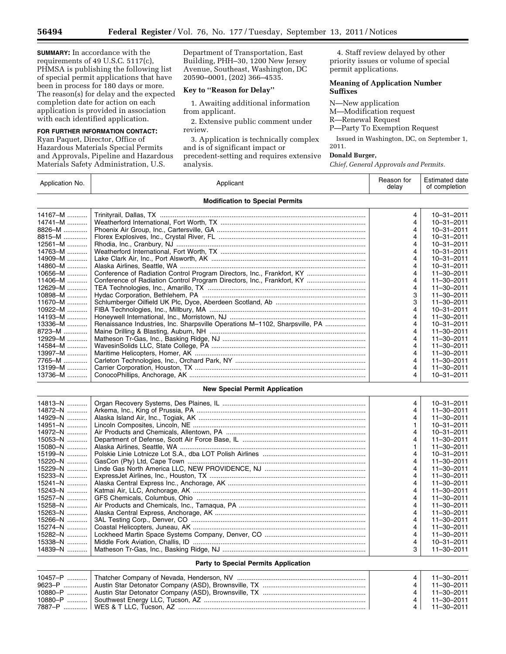**SUMMARY:** In accordance with the requirements of 49 U.S.C. 5117(c), PHMSA is publishing the following list of special permit applications that have been in process for 180 days or more. The reason(s) for delay and the expected completion date for action on each application is provided in association with each identified application.

## **FOR FURTHER INFORMATION CONTACT:**

Ryan Paquet, Director, Office of Hazardous Materials Special Permits and Approvals, Pipeline and Hazardous Materials Safety Administration, U.S.

Department of Transportation, East Building, PHH–30, 1200 New Jersey Avenue, Southeast, Washington, DC 20590–0001, (202) 366–4535.

### **Key to ''Reason for Delay''**

1. Awaiting additional information from applicant.

2. Extensive public comment under review.

3. Application is technically complex and is of significant impact or precedent-setting and requires extensive analysis.

4. Staff review delayed by other priority issues or volume of special permit applications.

#### **Meaning of Application Number Suffixes**

N—New application M—Modification request R—Renewal Request P—Party To Exemption Request

Issued in Washington, DC, on September 1, 2011.

### **Donald Burger,**

*Chief, General Approvals and Permits.* 

| Application No. | Applicant                                                                   | Reason for<br>delay | <b>Estimated date</b><br>of completion |
|-----------------|-----------------------------------------------------------------------------|---------------------|----------------------------------------|
|                 | <b>Modification to Special Permits</b>                                      |                     |                                        |
| $14167 - M$     |                                                                             | 4                   | $10 - 31 - 2011$                       |
| $14741 - M$     |                                                                             | 4                   | $10 - 31 - 2011$                       |
| 8826-M          |                                                                             | 4                   | $10 - 31 - 2011$                       |
| 8815-M          |                                                                             | 4                   | $10 - 31 - 2011$                       |
| $12561 - M$     |                                                                             | 4                   | $10 - 31 - 2011$                       |
| 14763-M         |                                                                             | 4                   | $10 - 31 - 2011$                       |
| $14909 - M$     |                                                                             | 4                   | $10 - 31 - 2011$                       |
| $14860 - M$     |                                                                             | 4                   | $10 - 31 - 2011$                       |
| $10656 - M$     |                                                                             | 4                   | $11 - 30 - 2011$                       |
| $11406 - M$     | Conference of Radiation Control Program Directors, Inc., Frankfort, KY      | 4                   | $11 - 30 - 2011$                       |
| 12629-M         |                                                                             | 4                   | 11-30-2011                             |
| 10898-M         |                                                                             | 3                   | $11 - 30 - 2011$                       |
| $11670 - M$     |                                                                             | 3                   | $11 - 30 - 2011$                       |
| 10922-M         |                                                                             | 4                   | $10 - 31 - 2011$                       |
| 14193-M         |                                                                             | 4                   | $11 - 30 - 2011$                       |
| 13336-M         | Renaissance Industries, Inc. Sharpsville Operations M-1102, Sharpsville, PA | 4                   | $10 - 31 - 2011$                       |
| 8723-M          |                                                                             | 4                   | 11-30-2011                             |
| 12929-M         |                                                                             | 4                   | 11-30-2011                             |
| 14584-M         |                                                                             | 4                   | $11 - 30 - 2011$                       |
| $13997 - M$     |                                                                             | 4                   | $11 - 30 - 2011$                       |
| $7765 - M$      |                                                                             | 4                   | $11 - 30 - 2011$                       |
| $13199 - M$     |                                                                             | 4                   | $11 - 30 - 2011$                       |
| $13736 - M$     |                                                                             | 4                   | $10 - 31 - 2011$                       |
|                 |                                                                             |                     |                                        |
|                 | <b>New Special Permit Application</b>                                       |                     |                                        |
| 14813-N         |                                                                             | 4                   | 10-31-2011                             |
| 14872-N         |                                                                             | 4                   | $11 - 30 - 2011$                       |
| $14929 - N$     |                                                                             | 4                   | $11 - 30 - 2011$                       |
| 14951-N         |                                                                             | 1                   | $10 - 31 - 2011$                       |
| 14972-N         |                                                                             | 4                   | $10 - 31 - 2011$                       |
| 15053-N         |                                                                             | 4                   | $11 - 30 - 2011$                       |
| 15080-N         |                                                                             | 1                   | $11 - 30 - 2011$                       |
| 15199-N         |                                                                             | 4                   | $10 - 31 - 2011$                       |
| $15220 - N$     |                                                                             | 4                   | $11 - 30 - 2011$                       |
| 15229-N         |                                                                             | 4                   | $11 - 30 - 2011$                       |
| 15233-N         |                                                                             | 4                   | 11-30-2011                             |
| 15241-N         |                                                                             | 4                   | 11-30-2011                             |
| $15243 - N$     |                                                                             | 4                   | $11 - 30 - 2011$                       |
| $15257 - N$     |                                                                             | 4                   | $11 - 30 - 2011$                       |
| $15258 - N$     |                                                                             | 4                   | $11 - 30 - 2011$                       |
| $15263 - N$     |                                                                             | 4                   | $11 - 30 - 2011$                       |
| $15266 - N$     |                                                                             | 4                   | $11 - 30 - 2011$                       |
| 15274-N         |                                                                             | 4                   | 11-30-2011                             |
|                 |                                                                             |                     |                                        |

# **Party to Special Permits Application**

14839–N ........... Matheson Tr-Gas, Inc., Basking Ridge, NJ .............................................................................. 3 11–30–2011

15274–N ........... Coastal Helicopters, Juneau, AK .............................................................................................. 4 11–30–2011

15338–N ........... Middle Fork Aviation, Challis, ID .............................................................................................. 4 10–31–2011

15282–N ........... Lockheed Martin Space Systems Company, Denver, CO ....................................................... 4 11–30–2011

|  |     | 11-30-2011 |
|--|-----|------------|
|  |     | 11–30–2011 |
|  |     | 11–30–2011 |
|  |     | 11–30–2011 |
|  | 4 I | 11–30–2011 |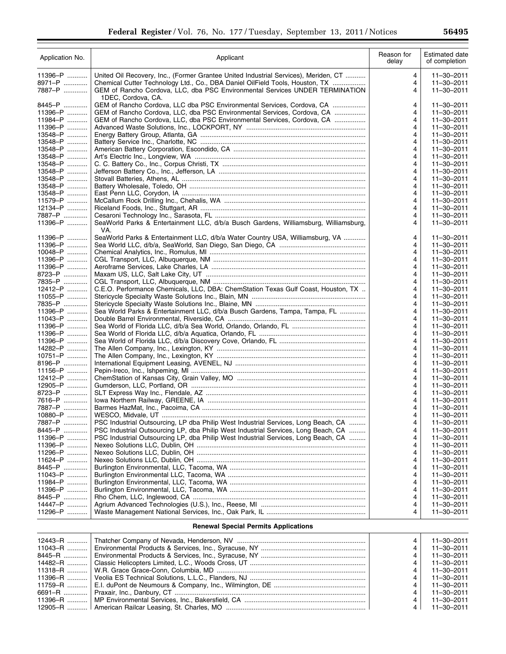| Application No.   | Applicant                                                                                    | Reason for<br>delay | <b>Estimated date</b><br>of completion |
|-------------------|----------------------------------------------------------------------------------------------|---------------------|----------------------------------------|
| $11396 - P$       | United Oil Recovery, Inc., (Former Grantee United Industrial Services), Meriden, CT          | 4                   | 11-30-2011                             |
| 8971–P …………       | Chemical Cutter Technology Ltd., Co., DBA Daniel OilField Tools, Houston, TX                 | 4                   | 11-30-2011                             |
| 7887-P            | GEM of Rancho Cordova, LLC, dba PSC Environmental Services UNDER TERMINATION                 | 4                   | 11-30-2011                             |
| 8445-P            | 1DEC, Cordova, CA.<br>GEM of Rancho Cordova, LLC dba PSC Environmental Services, Cordova, CA | 4                   | 11-30-2011                             |
| 11396-P           | GEM of Rancho Cordova, LLC, dba PSC Environmental Services, Cordova, CA                      | 4                   | 11-30-2011                             |
| 11984-P           | GEM of Rancho Cordova, LLC, dba PSC Environmental Services, Cordova, CA                      | 4                   | 11-30-2011                             |
| 11396-P           |                                                                                              | 4                   | 11-30-2011                             |
| 13548-P           |                                                                                              | 4                   | 11-30-2011                             |
| 13548-P           |                                                                                              | 4                   | 11-30-2011                             |
| 13548-P           |                                                                                              | 4                   | $11 - 30 - 2011$                       |
| 13548-P           |                                                                                              | 4                   | 11-30-2011                             |
| 13548-P           |                                                                                              | 4                   | 11-30-2011                             |
| 13548-P           |                                                                                              | 4                   | 11-30-2011                             |
| 13548-P           |                                                                                              | 4                   | $11 - 30 - 2011$                       |
| 13548-P           |                                                                                              | 4                   | 11-30-2011                             |
| 13548-P           |                                                                                              | 4                   | 11-30-2011                             |
| 11579-P           |                                                                                              | 4                   | 11-30-2011                             |
| 12134-P           |                                                                                              | 4                   | 11-30-2011                             |
| 7887-P            |                                                                                              | 4                   | 11-30-2011                             |
| 11396-P           | SeaWorld Parks & Entertainment LLC, d/b/a Busch Gardens, Williamsburg, Williamsburg,<br>VA.  | 4                   | 11-30-2011                             |
| 11396-P           | SeaWorld Parks & Entertainment LLC, d/b/a Water Country USA, Williamsburg, VA                | 4                   | 11-30-2011                             |
| 11396-P           |                                                                                              | 4                   | 11-30-2011                             |
| 10048-P           |                                                                                              | 4                   | 11-30-2011                             |
| 11396-P           |                                                                                              | 4                   | 11-30-2011                             |
| 11396-P           |                                                                                              | 4                   | $11 - 30 - 2011$                       |
| 8723-P            |                                                                                              | 4                   | 11-30-2011                             |
| 7835-P            |                                                                                              | 4                   | 11-30-2011                             |
| 12412-P           | C.E.O. Performance Chemicals, LLC, DBA: ChemStation Texas Gulf Coast, Houston, TX            | 4                   | 11-30-2011                             |
| 11055-P           |                                                                                              | 4                   | $11 - 30 - 2011$                       |
| 7835-P            |                                                                                              | 4                   | 11-30-2011                             |
| 11396-P           | Sea World Parks & Entertainment LLC, d/b/a Busch Gardens, Tampa, Tampa, FL                   | 4                   | 11-30-2011                             |
| 11043-P           |                                                                                              | 4                   | 11-30-2011                             |
| $11396 - P$       |                                                                                              | 4                   | $11 - 30 - 2011$                       |
| 11396-P           |                                                                                              | 4                   | 11-30-2011                             |
| 11396-P           |                                                                                              | 4                   | 11-30-2011                             |
| 14282-P           |                                                                                              | 4                   | 11-30-2011                             |
| $10751 - P$       |                                                                                              | 4                   | $11 - 30 - 2011$                       |
| 8196-P            |                                                                                              | 4                   | 11-30-2011                             |
| 11156-P           |                                                                                              | 4                   | 11-30-2011                             |
| 12412-P           |                                                                                              | 4                   | $11 - 30 - 2011$                       |
| 12905-P           |                                                                                              | 4                   | $11 - 30 - 2011$                       |
| 8723-P            |                                                                                              | 4                   | 11-30-2011                             |
| 7616-P            |                                                                                              | 4                   | 11-30-2011                             |
| 7887-P<br>10880-P |                                                                                              | 4<br>4              | $11 - 30 - 2011$<br>$11 - 30 - 2011$   |
| 7887–P            | PSC Industrial Outsourcing, LP dba Philip West Industrial Services, Long Beach, CA           | 4                   | 11-30-2011                             |
| 8445–P            | PSC Industrial Outsourcing LP, dba Philip West Industrial Services, Long Beach, CA           | 4                   | 11-30-2011                             |
| 11396-P           | PSC Industrial Outsourcing LP, dba Philip West Industrial Services, Long Beach, CA           | 4                   | 11-30-2011                             |
| 11396-P           |                                                                                              | 4                   | 11-30-2011                             |
| 11296-P           |                                                                                              | 4                   | $11 - 30 - 2011$                       |
| 11624-P           |                                                                                              | 4                   | $11 - 30 - 2011$                       |
| 8445-P            |                                                                                              | 4                   | 11-30-2011                             |
| 11043-P           |                                                                                              | 4                   | 11-30-2011                             |
| 11984-P           |                                                                                              | 4                   | 11-30-2011                             |
| 11396-P           |                                                                                              | 4                   | $11 - 30 - 2011$                       |
| 8445–P            |                                                                                              | 4                   | $11 - 30 - 2011$                       |
| 14447-P           |                                                                                              | 4                   | 11-30-2011                             |
| 11296-P           |                                                                                              | 4                   | 11-30-2011                             |
|                   | <b>Renewal Special Permits Applications</b>                                                  |                     |                                        |
|                   |                                                                                              |                     |                                        |

|                                                                                        | 4              | 11-30-2011 |
|----------------------------------------------------------------------------------------|----------------|------------|
|                                                                                        |                | 11-30-2011 |
|                                                                                        |                |            |
|                                                                                        | 4 <sup>1</sup> | 11-30-2011 |
| 14482–R ………   Classic Helicopters Limited, L.C., Woods Cross, UT ……………………………………………………. | 4              | 11-30-2011 |
|                                                                                        | 4 <sup>1</sup> | 11-30-2011 |
|                                                                                        | 4              | 11-30-2011 |
|                                                                                        | $\vert$ 4      | 11-30-2011 |
|                                                                                        | $\vert$ 4      | 11-30-2011 |
|                                                                                        | $\vert$ 4      | 11–30–2011 |
|                                                                                        | 4              | 11-30-2011 |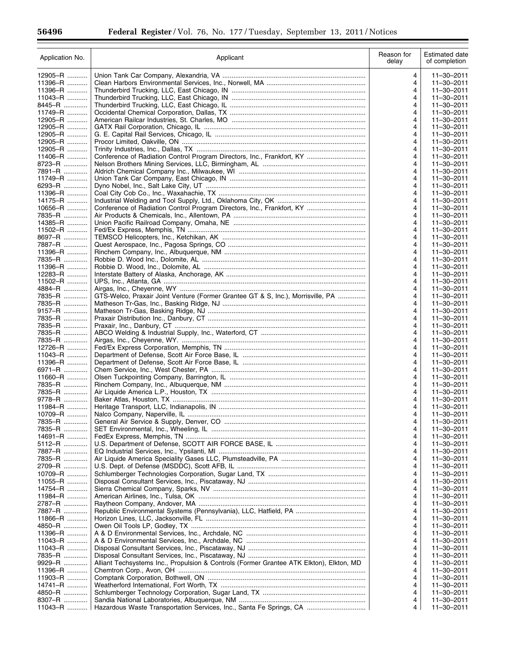Ξ

| Application No.       | Applicant                                                                               | Reason for<br>delay | Estimated date<br>of completion |
|-----------------------|-----------------------------------------------------------------------------------------|---------------------|---------------------------------|
| 12905-R               |                                                                                         | 4                   | $11 - 30 - 2011$                |
| 11396-R               |                                                                                         | 4                   | 11-30-2011                      |
| 11396-R               |                                                                                         | 4                   | $11 - 30 - 2011$                |
| 11043-R               |                                                                                         | 4                   | 11-30-2011                      |
| 8445-R<br>$11749 - R$ |                                                                                         | 4<br>4              | $11 - 30 - 2011$<br>11-30-2011  |
| 12905-R               |                                                                                         | 4                   | 11-30-2011                      |
| 12905-R               |                                                                                         | 4                   | 11-30-2011                      |
| 12905-R               |                                                                                         | 4                   | 11-30-2011                      |
| 12905-R               |                                                                                         | 4                   | 11-30-2011                      |
| 12905-R               |                                                                                         | 4                   | 11-30-2011                      |
| $11406 - R$           |                                                                                         | 4                   | 11-30-2011                      |
| 8723-R                |                                                                                         | 4                   | 11-30-2011                      |
| 7891-R<br>11749-R     |                                                                                         | 4<br>4              | 11-30-2011<br>11-30-2011        |
| 6293-R                |                                                                                         | 4                   | 11-30-2011                      |
| 11396-R               |                                                                                         | 4                   | 11-30-2011                      |
| 14175–R               |                                                                                         | 4                   | 11-30-2011                      |
| 10656-R               | Conference of Radiation Control Program Directors, Inc., Frankfort, KY                  | 4                   | $11 - 30 - 2011$                |
| 7835-R                |                                                                                         | 4                   | $11 - 30 - 2011$                |
| 14385-R               |                                                                                         | 4                   | $11 - 30 - 2011$                |
| $11502 - R$           |                                                                                         | 4                   | 11-30-2011                      |
| 8697-R                |                                                                                         | 4                   | 11-30-2011                      |
| 7887-R                |                                                                                         | 4                   | 11-30-2011                      |
| 11396-R<br>7835-R     |                                                                                         | 4<br>4              | 11-30-2011<br>11-30-2011        |
| 11396-R               |                                                                                         | 4                   | 11-30-2011                      |
| 12283-R               |                                                                                         | 4                   | $11 - 30 - 2011$                |
| 11502-R               |                                                                                         | 4                   | $11 - 30 - 2011$                |
| 4884-R                |                                                                                         | 4                   | 11-30-2011                      |
| 7835-R                | GTS-Welco, Praxair Joint Venture (Former Grantee GT & S, Inc.), Morrisville, PA         | 4                   | 11-30-2011                      |
| 7835-R                |                                                                                         | 4                   | 11-30-2011                      |
| 9157-R                |                                                                                         | 4                   | 11-30-2011                      |
| 7835-R                |                                                                                         | 4                   | $11 - 30 - 2011$                |
| 7835-R                |                                                                                         | 4                   | 11-30-2011                      |
| 7835-R<br>7835-R      |                                                                                         | 4                   | $11 - 30 - 2011$<br>11-30-2011  |
| 12726-R               |                                                                                         | 4<br>4              | 11-30-2011                      |
| $11043 - R$           |                                                                                         | 4                   | 11-30-2011                      |
| 11396-R               |                                                                                         | 4                   | 11-30-2011                      |
| 6971-R                |                                                                                         | 4                   | $11 - 30 - 2011$                |
| 11660-R               |                                                                                         | 4                   | $11 - 30 - 2011$                |
| 7835-R                |                                                                                         | 4                   | 11-30-2011                      |
| 7835-R                |                                                                                         | 4                   | 11-30-2011                      |
| 9778-R                |                                                                                         | 4                   | $11 - 30 - 2011$                |
| $11984 - R$           |                                                                                         | 4                   | 11-30-2011                      |
| 10709-R               |                                                                                         | 4                   | $11 - 30 - 2011$                |
| 7835-R<br>7835-R      |                                                                                         | 4<br>4              | 11-30-2011<br>11-30-2011        |
| 14691-R               |                                                                                         | 4                   | 11-30-2011                      |
| 5112-R                |                                                                                         | 4                   | 11-30-2011                      |
| 7887-R                |                                                                                         | 4                   | 11-30-2011                      |
| 7835-R                |                                                                                         | 4                   | 11-30-2011                      |
| 2709-R                |                                                                                         | 4                   | 11-30-2011                      |
| 10709-R               |                                                                                         | 4                   | 11-30-2011                      |
| 11055-R               |                                                                                         | 4                   | $11 - 30 - 2011$                |
| 14754-R               |                                                                                         | 4                   | 11-30-2011                      |
| 11984-R<br>2787-R     |                                                                                         | 4                   | $11 - 30 - 2011$                |
| 7887-R                |                                                                                         | 4<br>4              | 11-30-2011<br>11-30-2011        |
| $11866 - R$           |                                                                                         | 4                   | 11-30-2011                      |
| 4850-R                |                                                                                         | 4                   | 11-30-2011                      |
| 11396-R               |                                                                                         | 4                   | 11-30-2011                      |
| 11043-R               |                                                                                         | 4                   | 11-30-2011                      |
| 11043-R               |                                                                                         | 4                   | 11-30-2011                      |
| 7835-R                |                                                                                         | 4                   | 11-30-2011                      |
| 9929-R                | Alliant Techsystems Inc., Propulsion & Controls (Former Grantee ATK Elkton), Elkton, MD | 4                   | 11-30-2011                      |
| 11396-R               |                                                                                         | 4                   | 11-30-2011                      |
| 11903-R               |                                                                                         | 4                   | 11-30-2011                      |
| 14741-R<br>4850-R     |                                                                                         | 4<br>4              | 11-30-2011<br>11-30-2011        |
| 8307-R                |                                                                                         | 4                   | 11-30-2011                      |
| 11043-R               | Hazardous Waste Transportation Services, Inc., Santa Fe Springs, CA                     | 4                   | 11-30-2011                      |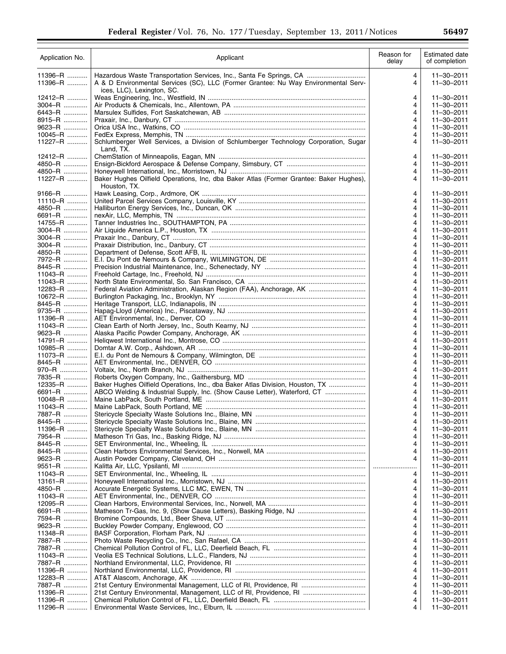۰

| Application No.        | Applicant                                                                                                                                                                               | Reason for<br>delay | Estimated date<br>of completion |
|------------------------|-----------------------------------------------------------------------------------------------------------------------------------------------------------------------------------------|---------------------|---------------------------------|
| $11396 - R$<br>11396-R | Hazardous Waste Transportation Services, Inc., Santa Fe Springs, CA<br>A & D Environmental Services (SC), LLC (Former Grantee: Nu Way Environmental Serv-<br>ices, LLC), Lexington, SC. | 4<br>4              | 11-30-2011<br>$11 - 30 - 2011$  |
| 12412-R                |                                                                                                                                                                                         | 4                   | 11-30-2011                      |
| $3004 - R$             |                                                                                                                                                                                         | 4                   | $11 - 30 - 2011$                |
| 6443–R                 |                                                                                                                                                                                         | 4                   | $11 - 30 - 2011$                |
| 8915-R                 |                                                                                                                                                                                         | 4                   | $11 - 30 - 2011$                |
| 9623–R<br>10045-R      |                                                                                                                                                                                         | 4<br>4              | 11-30-2011<br>11-30-2011        |
| 11227-R                | Schlumberger Well Services, a Division of Schlumberger Technology Corporation, Sugar<br>Land, TX.                                                                                       | 4                   | 11-30-2011                      |
| 12412-R                |                                                                                                                                                                                         | 4                   | $11 - 30 - 2011$                |
| 4850-R                 |                                                                                                                                                                                         | 4                   | 11-30-2011                      |
| 4850-R                 |                                                                                                                                                                                         | 4                   | 11-30-2011                      |
| 11227-R                | Baker Hughes Oilfield Operations, Inc, dba Baker Atlas (Former Grantee: Baker Hughes),<br>Houston, TX.                                                                                  | 4                   | 11-30-2011                      |
| 9166-R                 |                                                                                                                                                                                         | 4                   | 11-30-2011<br>$11 - 30 - 2011$  |
| 11110-R<br>4850-R      |                                                                                                                                                                                         | 4<br>4              | $11 - 30 - 2011$                |
| 6691-R                 |                                                                                                                                                                                         | 4                   | $11 - 30 - 2011$                |
| 14755-R                |                                                                                                                                                                                         | 4                   | $11 - 30 - 2011$                |
| $3004 - R$             |                                                                                                                                                                                         | 4                   | 11-30-2011                      |
| $3004 - R$             |                                                                                                                                                                                         | 4                   | $11 - 30 - 2011$                |
| $3004 - R$             |                                                                                                                                                                                         | 4                   | $11 - 30 - 2011$                |
| 4850-R                 |                                                                                                                                                                                         | 4                   | 11-30-2011                      |
| 7972-R                 |                                                                                                                                                                                         | 4                   | $11 - 30 - 2011$                |
| 8445–R                 |                                                                                                                                                                                         | 4                   | $11 - 30 - 2011$                |
| $11043 - R$            |                                                                                                                                                                                         | 4                   | $11 - 30 - 2011$                |
| 11043-R                |                                                                                                                                                                                         | 4                   | 11-30-2011                      |
| 12283-R<br>10672-R     | Federal Aviation Administration, Alaskan Region (FAA), Anchorage, AK                                                                                                                    | 4<br>4              | 11-30-2011<br>11-30-2011        |
| 8445–R                 |                                                                                                                                                                                         | 4                   | 11-30-2011                      |
| 9735-R                 |                                                                                                                                                                                         | 4                   | 11-30-2011                      |
| 11396-R                |                                                                                                                                                                                         | 4                   | 11-30-2011                      |
| 11043-R                |                                                                                                                                                                                         | 4                   | 11-30-2011                      |
| 9623–R                 |                                                                                                                                                                                         | 4                   | 11-30-2011                      |
| 14791-R                |                                                                                                                                                                                         | 4                   | 11-30-2011                      |
| 10985-R                |                                                                                                                                                                                         | 4                   | $11 - 30 - 2011$                |
| $11073 - R$            |                                                                                                                                                                                         | 4                   | $11 - 30 - 2011$                |
| 8445–R                 |                                                                                                                                                                                         | 4                   | 11-30-2011                      |
| 970-R<br>7835-R        |                                                                                                                                                                                         | 4<br>4              | $11 - 30 - 2011$<br>11-30-2011  |
| 12335-R                | Baker Hughes Oilfield Operations, Inc., dba Baker Atlas Division, Houston, TX                                                                                                           | 4                   | 11-30-2011                      |
| 6691-R                 | ABCO Welding & Industrial Supply, Inc. (Show Cause Letter), Waterford, CT                                                                                                               | 4                   | 11-30-2011                      |
| 10048-R                |                                                                                                                                                                                         | 4                   | 11-30-2011                      |
| 11043-R                |                                                                                                                                                                                         | 4                   | 11-30-2011                      |
| 7887-R                 |                                                                                                                                                                                         | 4                   | 11-30-2011                      |
| 8445–R                 |                                                                                                                                                                                         | 4                   | 11-30-2011                      |
| $11396 - R$            |                                                                                                                                                                                         | 4                   | 11-30-2011                      |
| 7954-R                 |                                                                                                                                                                                         | 4                   | 11-30-2011                      |
| 8445–R                 |                                                                                                                                                                                         | 4                   | 11-30-2011                      |
| 8445–R<br>9623–R       |                                                                                                                                                                                         | 4<br>4              | $11 - 30 - 2011$                |
| 9551-R                 |                                                                                                                                                                                         | .<br>.              | 11-30-2011<br>$11 - 30 - 2011$  |
| 11043-R                |                                                                                                                                                                                         | 4                   | 11-30-2011                      |
| $13161 - R$            |                                                                                                                                                                                         | 4                   | 11-30-2011                      |
| 4850-R                 |                                                                                                                                                                                         | 4                   | $11 - 30 - 2011$                |
| $11043 - R$            |                                                                                                                                                                                         | 4                   | $11 - 30 - 2011$                |
| 12095-R                |                                                                                                                                                                                         | 4                   | 11-30-2011                      |
| 6691-R                 |                                                                                                                                                                                         | 4                   | 11-30-2011                      |
| 7594-R                 |                                                                                                                                                                                         | 4                   | 11-30-2011                      |
| 9623–R                 |                                                                                                                                                                                         | 4                   | 11-30-2011                      |
| 11348-R                |                                                                                                                                                                                         | 4                   | 11-30-2011                      |
| 7887-R<br>7887-R       |                                                                                                                                                                                         | 4<br>4              | 11-30-2011<br>11-30-2011        |
| 11043-R                |                                                                                                                                                                                         | 4                   | 11-30-2011                      |
| 7887-R                 |                                                                                                                                                                                         | 4                   | 11-30-2011                      |
| 11396-R                |                                                                                                                                                                                         | 4                   | 11-30-2011                      |
| 12283-R                |                                                                                                                                                                                         | 4                   | 11-30-2011                      |
| 7887-R                 |                                                                                                                                                                                         | 4                   | 11-30-2011                      |
| 11396-R                | 21st Century Environmental, Management, LLC of RI, Providence, RI                                                                                                                       | 4                   | 11-30-2011                      |
| 11396-R                |                                                                                                                                                                                         | 4                   | 11-30-2011                      |
| 11296-R                |                                                                                                                                                                                         | 4                   | 11-30-2011                      |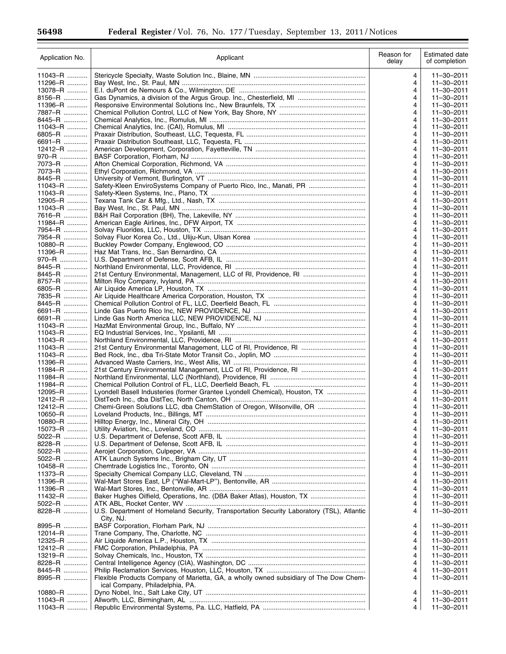$\equiv$ 

 $\equiv$ 

| Application No.    | Applicant                                                                                                                | Reason for<br>delay | <b>Estimated date</b><br>of completion |
|--------------------|--------------------------------------------------------------------------------------------------------------------------|---------------------|----------------------------------------|
| 11043-R            |                                                                                                                          | 4                   | $11 - 30 - 2011$                       |
| 11296-R            |                                                                                                                          | 4                   | 11-30-2011                             |
| 13078-R            |                                                                                                                          | 4                   | 11-30-2011                             |
| 8156-R             |                                                                                                                          | 4                   | 11-30-2011                             |
| 11396-R            |                                                                                                                          | 4                   | 11-30-2011                             |
| 7887-R             |                                                                                                                          | 4                   | 11-30-2011                             |
| 8445-R<br>11043-R  |                                                                                                                          | 4<br>4              | 11-30-2011<br>11-30-2011               |
| 6805-R             |                                                                                                                          | 4                   | 11-30-2011                             |
| 6691-R             |                                                                                                                          | 4                   | 11-30-2011                             |
| 12412-R            |                                                                                                                          | 4                   | 11-30-2011                             |
| 970–R              |                                                                                                                          | 4                   | 11-30-2011                             |
| 7073-R             |                                                                                                                          | 4                   | 11-30-2011                             |
| 7073-R             |                                                                                                                          | 4                   | 11-30-2011                             |
| 8445-R             |                                                                                                                          | 4                   | 11-30-2011                             |
| 11043-R            | Safety-Kleen EnviroSystems Company of Puerto Rico, Inc., Manati, PR                                                      | 4                   | 11-30-2011                             |
| 11043-R            |                                                                                                                          | 4                   | 11-30-2011                             |
| 12905-R            |                                                                                                                          | 4                   | 11-30-2011<br>$11 - 30 - 2011$         |
| 11043-R<br>7616-R  |                                                                                                                          | 4<br>4              | $11 - 30 - 2011$                       |
| 11984-R            |                                                                                                                          | 4                   | 11-30-2011                             |
| 7954-R             |                                                                                                                          | 4                   | 11-30-2011                             |
| 7954-R             |                                                                                                                          | 4                   | $11 - 30 - 2011$                       |
| 10880-R            |                                                                                                                          | 4                   | 11-30-2011                             |
| 11396-R            |                                                                                                                          | 4                   | $11 - 30 - 2011$                       |
| 970–R              |                                                                                                                          | 4                   | 11-30-2011                             |
| 8445–R             |                                                                                                                          | 4                   | $11 - 30 - 2011$                       |
| 8445–R             | 21st Century Environmental, Management, LLC of RI, Providence, RI                                                        | 4                   | $11 - 30 - 2011$                       |
| 8757-R             |                                                                                                                          | 4                   | $11 - 30 - 2011$                       |
| 6805-R             |                                                                                                                          | 4                   | 11-30-2011                             |
| 7835-R             |                                                                                                                          | 4                   | 11-30-2011                             |
| 8445-R<br>6691-R   |                                                                                                                          | 4<br>4              | 11-30-2011<br>11-30-2011               |
| 6691-R             |                                                                                                                          | 4                   | 11-30-2011                             |
| 11043-R            |                                                                                                                          | 4                   | 11-30-2011                             |
| 11043-R            |                                                                                                                          | 4                   | 11-30-2011                             |
| 11043-R            |                                                                                                                          | 4                   | 11-30-2011                             |
| $11043 - R$        |                                                                                                                          | 4                   | 11-30-2011                             |
| 11043-R            |                                                                                                                          | 4                   | 11-30-2011                             |
| 11396-R            |                                                                                                                          | 4                   | 11-30-2011                             |
| 11984-R            |                                                                                                                          | 4                   | $11 - 30 - 2011$                       |
| $11984 - R$        |                                                                                                                          | 4                   | 11-30-2011                             |
| 11984-R            |                                                                                                                          | 4                   | $11 - 30 - 2011$                       |
| 12095-R<br>12412-R | Lyondell Basell Industeries (former Grantee Lyondell Chemical), Houston, TX                                              | 4<br>4              | 11-30-2011<br>$11 - 30 - 2011$         |
| 12412-R            | Chemi-Green Solutions LLC, dba ChemStation of Oregon, Wilsonville, OR                                                    | 4                   | 11-30-2011                             |
| 10650-R            |                                                                                                                          | 4                   | 11-30-2011                             |
| 10880-R            |                                                                                                                          | 4                   | 11-30-2011                             |
| 15073-R            |                                                                                                                          | 4                   | 11-30-2011                             |
| 5022-R             |                                                                                                                          | 4                   | 11-30-2011                             |
| 8228-R             |                                                                                                                          | 4                   | 11-30-2011                             |
| 5022-R             |                                                                                                                          | 4                   | 11-30-2011                             |
| 5022-R             |                                                                                                                          | 4                   | 11-30-2011                             |
| 10458-R            |                                                                                                                          | 4                   | 11-30-2011                             |
| 11373-R            |                                                                                                                          | 4                   | 11-30-2011                             |
| 11396-R            |                                                                                                                          | 4                   | 11-30-2011                             |
| 11396-R<br>11432-R | Baker Hughes Oilfield, Operations, Inc. (DBA Baker Atlas), Houston, TX                                                   | 4<br>4              | 11-30-2011<br>$11 - 30 - 2011$         |
| 5022-R             |                                                                                                                          | 4                   | 11-30-2011                             |
| 8228-R             | U.S. Department of Homeland Security, Transportation Security Laboratory (TSL), Atlantic                                 | 4                   | 11-30-2011                             |
|                    | City, NJ.                                                                                                                |                     |                                        |
| 8995-R             |                                                                                                                          | 4                   | 11-30-2011                             |
| 12014–R            |                                                                                                                          | 4                   | 11-30-2011                             |
| 12325-R            |                                                                                                                          | 4                   | 11-30-2011                             |
| 12412-R            |                                                                                                                          | 4                   | 11-30-2011                             |
| 13219-R            |                                                                                                                          | 4                   | 11-30-2011                             |
| 8228-R             |                                                                                                                          | 4                   | 11-30-2011                             |
| 8445–R             |                                                                                                                          | 4                   | 11-30-2011                             |
| 8995-R             | Flexible Products Company of Marietta, GA, a wholly owned subsidiary of The Dow Chem-<br>ical Company, Philadelphia, PA. | 4                   | 11-30-2011                             |
| 10880-R            |                                                                                                                          | 4                   | 11-30-2011                             |
| 11043-R            |                                                                                                                          | 4                   | 11-30-2011                             |
| 11043-R            |                                                                                                                          | 4                   | 11-30-2011                             |